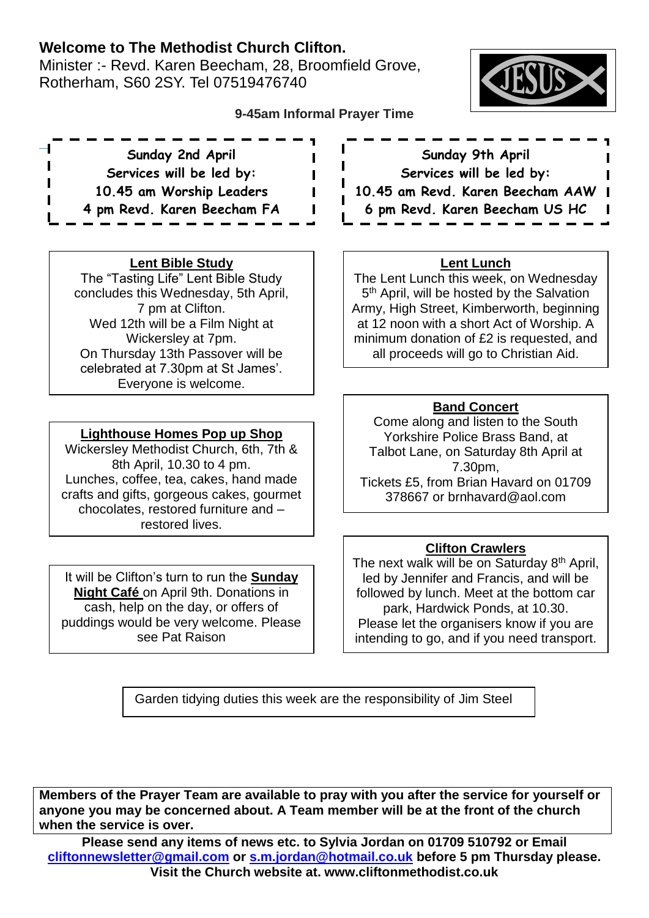# **Welcome to The Methodist Church Clifton.**

Minister :- Revd. Karen Beecham, 28, Broomfield Grove, Rotherham, S60 2SY. Tel 07519476740



# **9-45am Informal Prayer Time**

 $\overline{a}$ **Sunday 2nd April Services will be led by: 10.45 am Worship Leaders 4 pm Revd. Karen Beecham FA**

## **Lent Bible Study**

The "Tasting Life" Lent Bible Study concludes this Wednesday, 5th April, 7 pm at Clifton. Wed 12th will be a Film Night at Wickersley at 7pm. On Thursday 13th Passover will be celebrated at 7.30pm at St James'. Everyone is welcome.

## **Lighthouse Homes Pop up Shop**

Wickersley Methodist Church, 6th, 7th & 8th April, 10.30 to 4 pm. Lunches, coffee, tea, cakes, hand made crafts and gifts, gorgeous cakes, gourmet chocolates, restored furniture and – restored lives.

It will be Clifton's turn to run the **Sunday Night Café** on April 9th. Donations in cash, help on the day, or offers of puddings would be very welcome. Please see Pat Raison

**Sunday 9th April Services will be led by: 10.45 am Revd. Karen Beecham AAW 6 pm Revd. Karen Beecham US HC**

#### **Lent Lunch**

The Lent Lunch this week, on Wednesday 5<sup>th</sup> April, will be hosted by the Salvation Army, High Street, Kimberworth, beginning at 12 noon with a short Act of Worship. A minimum donation of £2 is requested, and all proceeds will go to Christian Aid.

## **Band Concert**

Come along and listen to the South Yorkshire Police Brass Band, at Talbot Lane, on Saturday 8th April at 7.30pm, Tickets £5, from Brian Havard on 01709 378667 or brnhavard@aol.com

## **Clifton Crawlers**

The next walk will be on Saturday 8<sup>th</sup> April, led by Jennifer and Francis, and will be followed by lunch. Meet at the bottom car park, Hardwick Ponds, at 10.30. Please let the organisers know if you are intending to go, and if you need transport.

Garden tidying duties this week are the responsibility of Jim Steel

**Members of the Prayer Team are available to pray with you after the service for yourself or anyone you may be concerned about. A Team member will be at the front of the church when the service is over.**

**Please send any items of news etc. to Sylvia Jordan on 01709 510792 or Email [cliftonnewsletter@gmail.com](mailto:cliftonnewsletter@gmail.com) or [s.m.jordan@hotmail.co.uk](mailto:s.m.jordan@hotmail.co.uk) before 5 pm Thursday please. Visit the Church website at. www.cliftonmethodist.co.uk**